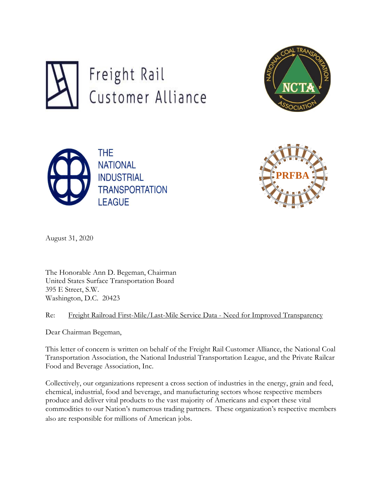







August 31, 2020

The Honorable Ann D. Begeman, Chairman United States Surface Transportation Board 395 E Street, S.W. Washington, D.C. 20423

Re: Freight Railroad First-Mile/Last-Mile Service Data - Need for Improved Transparency

Dear Chairman Begeman,

This letter of concern is written on behalf of the Freight Rail Customer Alliance, the National Coal Transportation Association, the National Industrial Transportation League, and the Private Railcar Food and Beverage Association, Inc.

Collectively, our organizations represent a cross section of industries in the energy, grain and feed, chemical, industrial, food and beverage, and manufacturing sectors whose respective members produce and deliver vital products to the vast majority of Americans and export these vital commodities to our Nation's numerous trading partners. These organization's respective members also are responsible for millions of American jobs.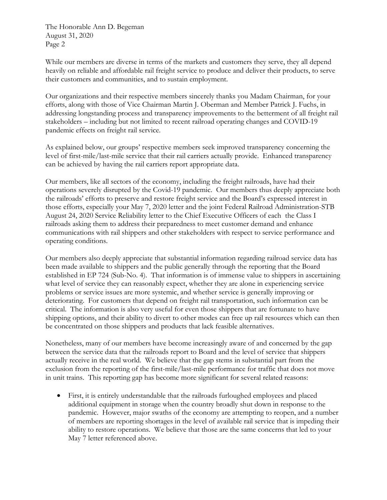While our members are diverse in terms of the markets and customers they serve, they all depend heavily on reliable and affordable rail freight service to produce and deliver their products, to serve their customers and communities, and to sustain employment.

Our organizations and their respective members sincerely thanks you Madam Chairman, for your efforts, along with those of Vice Chairman Martin J. Oberman and Member Patrick J. Fuchs, in addressing longstanding process and transparency improvements to the betterment of all freight rail stakeholders – including but not limited to recent railroad operating changes and COVID-19 pandemic effects on freight rail service.

As explained below, our groups' respective members seek improved transparency concerning the level of first-mile/last-mile service that their rail carriers actually provide. Enhanced transparency can be achieved by having the rail carriers report appropriate data.

Our members, like all sectors of the economy, including the freight railroads, have had their operations severely disrupted by the Covid-19 pandemic. Our members thus deeply appreciate both the railroads' efforts to preserve and restore freight service and the Board's expressed interest in those efforts, especially your May 7, 2020 letter and the joint Federal Railroad Administration-STB August 24, 2020 Service Reliability letter to the Chief Executive Officers of each the Class I railroads asking them to address their preparedness to meet customer demand and enhance communications with rail shippers and other stakeholders with respect to service performance and operating conditions.

Our members also deeply appreciate that substantial information regarding railroad service data has been made available to shippers and the public generally through the reporting that the Board established in EP 724 (Sub-No. 4). That information is of immense value to shippers in ascertaining what level of service they can reasonably expect, whether they are alone in experiencing service problems or service issues are more systemic, and whether service is generally improving or deteriorating. For customers that depend on freight rail transportation, such information can be critical. The information is also very useful for even those shippers that are fortunate to have shipping options, and their ability to divert to other modes can free up rail resources which can then be concentrated on those shippers and products that lack feasible alternatives.

Nonetheless, many of our members have become increasingly aware of and concerned by the gap between the service data that the railroads report to Board and the level of service that shippers actually receive in the real world. We believe that the gap stems in substantial part from the exclusion from the reporting of the first-mile/last-mile performance for traffic that does not move in unit trains. This reporting gap has become more significant for several related reasons:

• First, it is entirely understandable that the railroads furloughed employees and placed additional equipment in storage when the country broadly shut down in response to the pandemic. However, major swaths of the economy are attempting to reopen, and a number of members are reporting shortages in the level of available rail service that is impeding their ability to restore operations. We believe that those are the same concerns that led to your May 7 letter referenced above.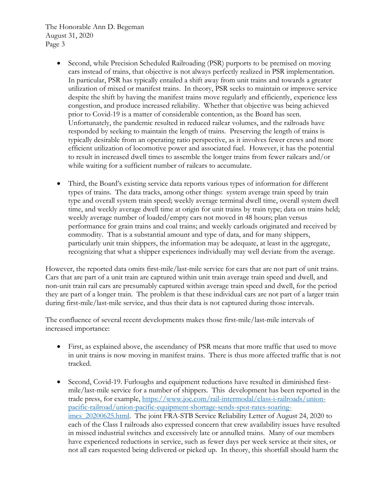- Second, while Precision Scheduled Railroading (PSR) purports to be premised on moving cars instead of trains, that objective is not always perfectly realized in PSR implementation. In particular, PSR has typically entailed a shift away from unit trains and towards a greater utilization of mixed or manifest trains. In theory, PSR seeks to maintain or improve service despite the shift by having the manifest trains move regularly and efficiently, experience less congestion, and produce increased reliability. Whether that objective was being achieved prior to Covid-19 is a matter of considerable contention, as the Board has seen. Unfortunately, the pandemic resulted in reduced railcar volumes, and the railroads have responded by seeking to maintain the length of trains. Preserving the length of trains is typically desirable from an operating ratio perspective, as it involves fewer crews and more efficient utilization of locomotive power and associated fuel. However, it has the potential to result in increased dwell times to assemble the longer trains from fewer railcars and/or while waiting for a sufficient number of railcars to accumulate.
- Third, the Board's existing service data reports various types of information for different types of trains. The data tracks, among other things: system average train speed by train type and overall system train speed; weekly average terminal dwell time, overall system dwell time, and weekly average dwell time at origin for unit trains by train type; data on trains held; weekly average number of loaded/empty cars not moved in 48 hours; plan versus performance for grain trains and coal trains; and weekly carloads originated and received by commodity. That is a substantial amount and type of data, and for many shippers, particularly unit train shippers, the information may be adequate, at least in the aggregate, recognizing that what a shipper experiences individually may well deviate from the average.

However, the reported data omits first-mile/last-mile service for cars that are not part of unit trains. Cars that are part of a unit train are captured within unit train average train speed and dwell, and non-unit train rail cars are presumably captured within average train speed and dwell, for the period they are part of a longer train. The problem is that these individual cars are not part of a larger train during first-mile/last-mile service, and thus their data is not captured during those intervals.

The confluence of several recent developments makes those first-mile/last-mile intervals of increased importance:

- First, as explained above, the ascendancy of PSR means that more traffic that used to move in unit trains is now moving in manifest trains. There is thus more affected traffic that is not tracked.
- Second, Covid-19. Furloughs and equipment reductions have resulted in diminished firstmile/last-mile service for a number of shippers. This development has been reported in the trade press, for example, [https://www.joc.com/rail-intermodal/class-i-railroads/union](https://www.joc.com/rail-intermodal/class-i-railroads/union-pacific-railroad/union-pacific-equipment-shortage-sends-spot-rates-soaring-imcs_20200625.html)[pacific-railroad/union-pacific-equipment-shortage-sends-spot-rates-soaring](https://www.joc.com/rail-intermodal/class-i-railroads/union-pacific-railroad/union-pacific-equipment-shortage-sends-spot-rates-soaring-imcs_20200625.html)imcs 20200625.html. The joint FRA-STB Service Reliability Letter of August 24, 2020 to each of the Class I railroads also expressed concern that crew availability issues have resulted in missed industrial switches and excessively late or annulled trains. Many of our members have experienced reductions in service, such as fewer days per week service at their sites, or not all cars requested being delivered or picked up. In theory, this shortfall should harm the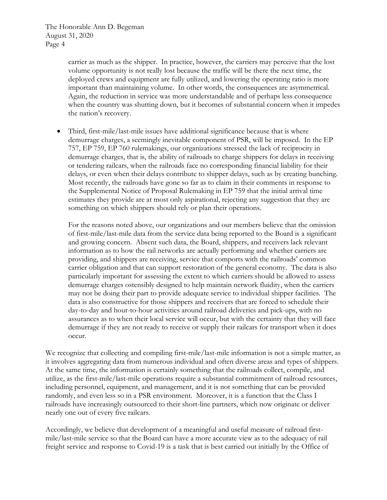> carrier as much as the shipper. In practice, however, the carriers may perceive that the lost volume opportunity is not really lost because the traffic will be there the next time, the deployed crews and equipment are fully utilized, and lowering the operating ratio is more important than maintaining volume. In other words, the consequences are asymmetrical. Again, the reduction in service was more understandable and of perhaps less consequence when the country was shutting down, but it becomes of substantial concern when it impedes the nation's recovery.

• Third, first-mile/last-mile issues have additional significance because that is where demurrage charges, a seemingly inevitable component of PSR, will be imposed. In the EP 757, EP 759, EP 760 rulemakings, our organizations stressed the lack of reciprocity in demurrage charges, that is, the ability of railroads to charge shippers for delays in receiving or tendering railcars, when the railroads face no corresponding financial liability for their delays, or even when their delays contribute to shipper delays, such as by creating bunching. Most recently, the railroads have gone so far as to claim in their comments in response to the Supplemental Notice of Proposal Rulemaking in EP 759 that the initial arrival time estimates they provide are at most only aspirational, rejecting any suggestion that they are something on which shippers should rely or plan their operations.

For the reasons noted above, our organizations and our members believe that the omission of first-mile/last-mile data from the service data being reported to the Board is a significant and growing concern. Absent such data, the Board, shippers, and receivers lack relevant information as to how the rail networks are actually performing and whether carriers are providing, and shippers are receiving, service that comports with the railroads' common carrier obligation and that can support restoration of the general economy. The data is also particularly important for assessing the extent to which carriers should be allowed to assess demurrage charges ostensibly designed to help maintain network fluidity, when the carriers may not be doing their part to provide adequate service to individual shipper facilities. The data is also constructive for those shippers and receivers that are forced to schedule their day-to-day and hour-to-hour activities around railroad deliveries and pick-ups, with no assurances as to when their local service will occur, but with the certainty that they will face demurrage if they are not ready to receive or supply their railcars for transport when it does occur.

We recognize that collecting and compiling first-mile/last-mile information is not a simple matter, as it involves aggregating data from numerous individual and often diverse areas and types of shippers. At the same time, the information is certainly something that the railroads collect, compile, and utilize, as the first-mile/last-mile operations require a substantial commitment of railroad resources, including personnel, equipment, and management, and it is not something that can be provided randomly, and even less so in a PSR environment. Moreover, it is a function that the Class I railroads have increasingly outsourced to their short-line partners, which now originate or deliver nearly one out of every five railcars.

Accordingly, we believe that development of a meaningful and useful measure of railroad firstmile/last-mile service so that the Board can have a more accurate view as to the adequacy of rail freight service and response to Covid-19 is a task that is best carried out initially by the Office of